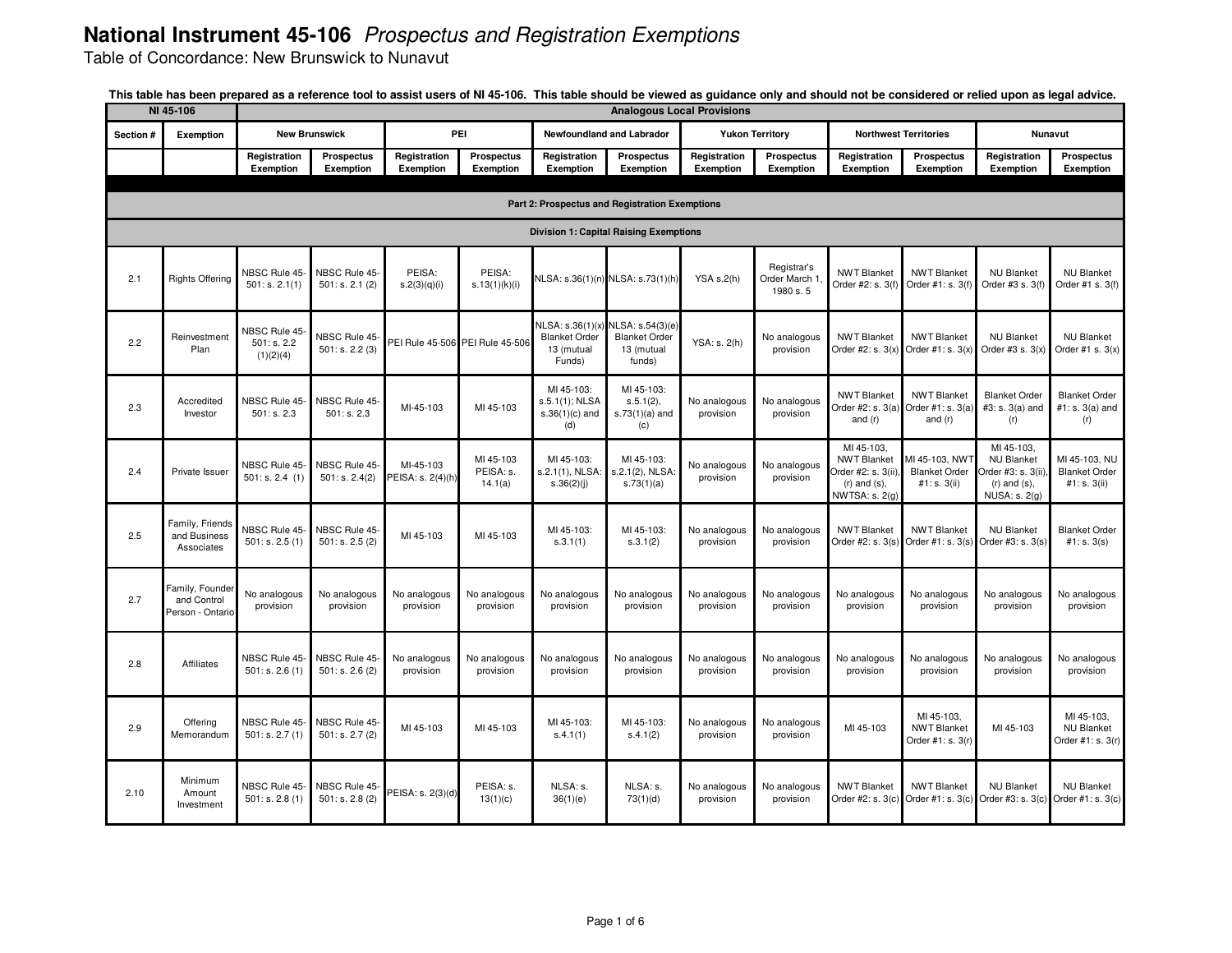Table of Concordance: New Brunswick to Nunavut

|           | NI 45-106<br><b>Analogous Local Provisions</b>     |                                          |                                 |                                  |                                   |                                                                 |                                                                  |                           |                                           |                                                                                                |                                                        |                                                                                              |                                                         |  |
|-----------|----------------------------------------------------|------------------------------------------|---------------------------------|----------------------------------|-----------------------------------|-----------------------------------------------------------------|------------------------------------------------------------------|---------------------------|-------------------------------------------|------------------------------------------------------------------------------------------------|--------------------------------------------------------|----------------------------------------------------------------------------------------------|---------------------------------------------------------|--|
| Section # | Exemption                                          |                                          | <b>New Brunswick</b>            | PEI                              |                                   |                                                                 | Newfoundland and Labrador                                        |                           | <b>Yukon Territory</b>                    |                                                                                                | <b>Northwest Territories</b>                           |                                                                                              | <b>Nunavut</b>                                          |  |
|           |                                                    | Registration<br>Exemption                | Prospectus<br>Exemption         | Registration<br><b>Exemption</b> | Prospectus<br>Exemption           | Registration<br>Exemption                                       | Prospectus<br>Exemption                                          | Registration<br>Exemption | Prospectus<br>Exemption                   | Registration<br>Exemption                                                                      | <b>Prospectus</b><br>Exemption                         | Registration<br>Exemption                                                                    | Prospectus<br>Exemption                                 |  |
|           | Part 2: Prospectus and Registration Exemptions     |                                          |                                 |                                  |                                   |                                                                 |                                                                  |                           |                                           |                                                                                                |                                                        |                                                                                              |                                                         |  |
|           | <b>Division 1: Capital Raising Exemptions</b>      |                                          |                                 |                                  |                                   |                                                                 |                                                                  |                           |                                           |                                                                                                |                                                        |                                                                                              |                                                         |  |
| 2.1       | <b>Rights Offering</b>                             | NBSC Rule 45-<br>501: s. 2.1(1)          | NBSC Rule 45-<br>501: s. 2.1(2) | PEISA:<br>s.2(3)(q)(i)           | PEISA:<br>s.13(1)(k)(i)           | NLSA: s.36(1)(n                                                 | NLSA: s.73(1)(h)                                                 | YSA s.2(h)                | Registrar's<br>Order March 1<br>1980 s. 5 | <b>NWT Blanket</b><br>Order #2: s. 3(f)                                                        | <b>NWT Blanket</b><br>Order #1: s. 3(f)                | <b>NU Blanket</b><br>Order #3 s. 3(f)                                                        | <b>NU Blanket</b><br>Order #1 s. 3(f)                   |  |
| 2.2       | Reinvestment<br>Plan                               | NBSC Rule 45<br>501: s. 2.2<br>(1)(2)(4) | NBSC Rule 45<br>501: s. 2.2(3)  |                                  | PEI Rule 45-506 PEI Rule 45-506   | NLSA: s.36(1)(x<br><b>Blanket Order</b><br>13 (mutual<br>Funds) | NLSA: s.54(3)(e)<br><b>Blanket Order</b><br>13 (mutual<br>funds) | YSA: s. 2(h)              | No analogous<br>provision                 | <b>NWT Blanket</b><br>Order #2: s. 3(x)                                                        | <b>NWT Blanket</b><br>Order #1: $s. 3(x)$              | <b>NU Blanket</b><br>Order #3 s. $3(x)$                                                      | <b>NU Blanket</b><br>Order #1 s. $3(x)$                 |  |
| 2.3       | Accredited<br>Investor                             | <b>NBSC Rule 45-</b><br>501: s. 2.3      | NBSC Rule 45-<br>501: s. 2.3    | MI-45-103                        | MI 45-103                         | MI 45-103:<br>s.5.1(1); NLSA<br>$s.36(1)(c)$ and<br>(d)         | MI 45-103:<br>$s.5.1(2)$ ,<br>$s.73(1)(a)$ and<br>(c)            | No analogous<br>provision | No analogous<br>provision                 | <b>NWT Blanket</b><br>Order $\#2$ : s. $3(a)$<br>and $(r)$                                     | <b>NWT Blanket</b><br>Order #1: s. 3(a)<br>and $(r)$   | <b>Blanket Order</b><br>#3: s. 3(a) and<br>(r)                                               | <b>Blanket Order</b><br>#1: s. 3(a) and<br>(r)          |  |
| 2.4       | Private Issuer                                     | NBSC Rule 45-<br>501: s. 2.4 (1)         | NBSC Rule 45-<br>501: s. 2.4(2) | MI-45-103<br>PEISA: s. 2(4)(h)   | MI 45-103<br>PEISA: s.<br>14.1(a) | MI 45-103:<br>s.2.1(1), NLSA<br>s.36(2)(j)                      | MI 45-103:<br>s.2.1(2), NLSA:<br>s.73(1)(a)                      | No analogous<br>provision | No analogous<br>provision                 | MI 45-103.<br><b>NWT Blanket</b><br>Order #2: s. 3(ii).<br>$(r)$ and $(s)$ ,<br>NWTSA: s. 2(g) | MI 45-103, NWT<br><b>Blanket Order</b><br>#1: s. 3(ii) | MI 45-103,<br><b>NU Blanket</b><br>Order #3: s. 3(ii).<br>$(r)$ and $(s)$ ,<br>NUSA: s. 2(g) | MI 45-103, NU<br><b>Blanket Order</b><br>#1: $s. 3(ii)$ |  |
| 2.5       | Family, Friends<br>and Business<br>Associates      | <b>NBSC Rule 45-</b><br>501: s. 2.5(1)   | NBSC Rule 45-<br>501: s. 2.5(2) | MI 45-103                        | MI 45-103                         | MI 45-103:<br>s.3.1(1)                                          | MI 45-103:<br>s.3.1(2)                                           | No analogous<br>provision | No analogous<br>provision                 | <b>NWT Blanket</b><br>Order #2: s. 3(s)                                                        | <b>NWT Blanket</b><br>Order #1: s. 3(s)                | <b>NU Blanket</b><br>Order #3: s. 3(s)                                                       | <b>Blanket Order</b><br>#1: s. 3(s)                     |  |
| 2.7       | Family, Founder<br>and Control<br>Person - Ontario | No analogous<br>provision                | No analogous<br>provision       | No analogous<br>provision        | No analogous<br>provision         | No analogous<br>provision                                       | No analogous<br>provision                                        | No analogous<br>provision | No analogous<br>provision                 | No analogous<br>provision                                                                      | No analogous<br>provision                              | No analogous<br>provision                                                                    | No analogous<br>provision                               |  |
| 2.8       | Affiliates                                         | <b>NBSC Rule 45-</b><br>501: s. 2.6(1)   | NBSC Rule 45-<br>501: s. 2.6(2) | No analogous<br>provision        | No analogous<br>provision         | No analogous<br>provision                                       | No analogous<br>provision                                        | No analogous<br>provision | No analogous<br>provision                 | No analogous<br>provision                                                                      | No analogous<br>provision                              | No analogous<br>provision                                                                    | No analogous<br>provision                               |  |
| 2.9       | Offering<br>Memorandum                             | NBSC Rule 45-<br>501: s. 2.7(1)          | NBSC Rule 45-<br>501: s. 2.7(2) | MI 45-103                        | MI 45-103                         | MI 45-103:<br>S.4.1(1)                                          | MI 45-103:<br>s.4.1(2)                                           | No analogous<br>provision | No analogous<br>provision                 | MI 45-103                                                                                      | MI 45-103.<br><b>NWT Blanket</b><br>Order #1: s. 3(r)  | MI 45-103                                                                                    | MI 45-103.<br><b>NU Blanket</b><br>Order #1: s. 3(r)    |  |
| 2.10      | Minimum<br>Amount<br>Investment                    | NBSC Rule 45-<br>501: s. 2.8(1)          | NBSC Rule 45-<br>501: s. 2.8(2) | PEISA: s. 2(3)(d)                | PEISA: s.<br>13(1)(c)             | NLSA: s.<br>36(1)(e)                                            | NLSA: s.<br>73(1)(d)                                             | No analogous<br>provision | No analogous<br>provision                 | <b>NWT Blanket</b><br>Order #2: s. 3(c                                                         | <b>NWT Blanket</b><br>Order #1: s. 3(c)                | <b>NU Blanket</b><br>Order #3: s. 3(c)                                                       | <b>NU Blanket</b><br>Order #1: s. 3(c)                  |  |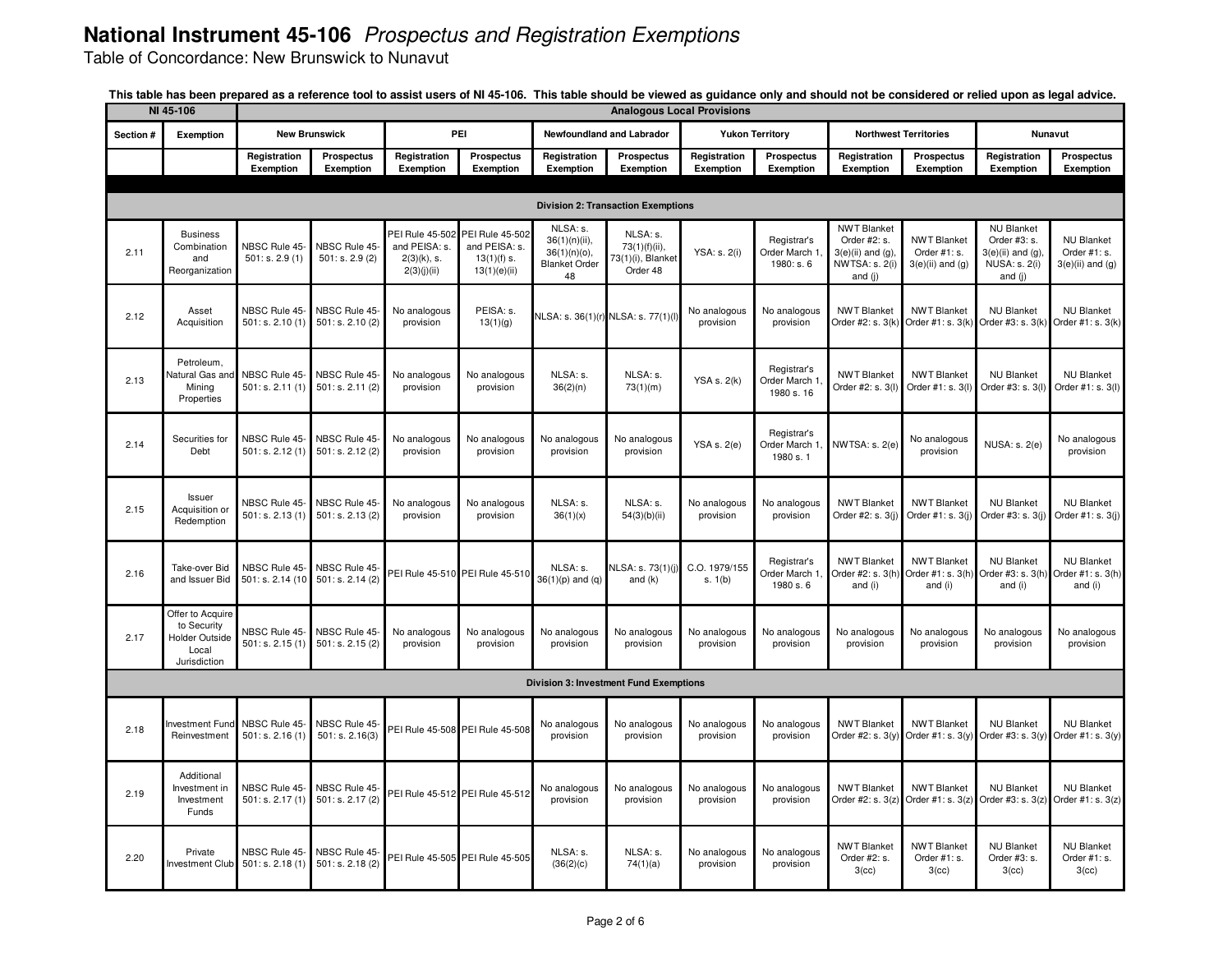Table of Concordance: New Brunswick to Nunavut

|                                           | NI 45-106                                                                         |                                    |                                   |                                                                   |                                                                   |                                                                            | <b>Analogous Local Provisions</b>                          |                           |                                            |                                                                                           |                                                           |                                                                                                |                                                          |
|-------------------------------------------|-----------------------------------------------------------------------------------|------------------------------------|-----------------------------------|-------------------------------------------------------------------|-------------------------------------------------------------------|----------------------------------------------------------------------------|------------------------------------------------------------|---------------------------|--------------------------------------------|-------------------------------------------------------------------------------------------|-----------------------------------------------------------|------------------------------------------------------------------------------------------------|----------------------------------------------------------|
| Section #                                 | Exemption                                                                         |                                    | <b>New Brunswick</b>              | PEI                                                               |                                                                   |                                                                            | Newfoundland and Labrador                                  |                           | <b>Yukon Territory</b>                     |                                                                                           | <b>Northwest Territories</b>                              |                                                                                                | Nunavut                                                  |
|                                           |                                                                                   | Registration<br>Exemption          | Prospectus<br>Exemption           | Registration<br>Exemption                                         | Prospectus<br>Exemption                                           | Registration<br>Exemption                                                  | <b>Prospectus</b><br>Exemption                             | Registration<br>Exemption | Prospectus<br>Exemption                    | Registration<br>Exemption                                                                 | <b>Prospectus</b><br>Exemption                            | Registration<br>Exemption                                                                      | Prospectus<br>Exemption                                  |
|                                           |                                                                                   |                                    |                                   |                                                                   |                                                                   |                                                                            |                                                            |                           |                                            |                                                                                           |                                                           |                                                                                                |                                                          |
| <b>Division 2: Transaction Exemptions</b> |                                                                                   |                                    |                                   |                                                                   |                                                                   |                                                                            |                                                            |                           |                                            |                                                                                           |                                                           |                                                                                                |                                                          |
| 2.11                                      | <b>Business</b><br>Combination<br>and<br>Reorganization                           | NBSC Rule 45-<br>501: s. 2.9(1)    | NBSC Rule 45-<br>501: s. 2.9(2)   | PEI Rule 45-502<br>and PEISA: s.<br>$2(3)(k)$ , s.<br>2(3)(j)(ii) | PEI Rule 45-502<br>and PEISA: s.<br>$13(1)(f)$ s.<br>13(1)(e)(ii) | NLSA: s.<br>$36(1)(n)(ii)$ ,<br>36(1)(n)(o),<br><b>Blanket Order</b><br>48 | NLSA: s.<br>73(1)(f)(ii),<br>73(1)(i), Blanket<br>Order 48 | YSA: s. 2(i)              | Registrar's<br>Order March 1<br>1980: s. 6 | <b>NWT Blanket</b><br>Order #2: s.<br>$3(e)$ (ii) and (g).<br>NWTSA: s. 2(i)<br>and $(i)$ | <b>NWT Blanket</b><br>Order #1: s.<br>$3(e)$ (ii) and (g) | <b>NU Blanket</b><br>Order #3: s.<br>$3(e)(ii)$ and $(g)$ ,<br><b>NUSA: s. 2(i)</b><br>and (j) | <b>NU Blanket</b><br>Order #1: s.<br>$3(e)$ (ii) and (g) |
| 2.12                                      | Asset<br>Acquisition                                                              | NBSC Rule 45-<br>501: s. 2.10(1)   | NBSC Rule 45-<br>501: s. 2.10(2)  | No analogous<br>provision                                         | PEISA: s.<br>13(1)(g)                                             |                                                                            | NLSA: s. 36(1)(r) NLSA: s. 77(1)(l)                        | No analogous<br>provision | No analogous<br>provision                  | <b>NWT Blanket</b><br>Order #2: s. 3(k                                                    | <b>NWT Blanket</b><br>Order #1: s. 3(k)                   | <b>NU Blanket</b><br>Order #3: s. 3(k)                                                         | <b>NU Blanket</b><br>Order #1: s. 3(k)                   |
| 2.13                                      | Petroleum,<br><b>Vatural Gas and</b><br>Mining<br>Properties                      | NBSC Rule 45-<br>501: s. 2.11(1)   | NBSC Rule 45-<br>501: s. 2.11(2)  | No analogous<br>provision                                         | No analogous<br>provision                                         | NLSA: s.<br>36(2)(n)                                                       | NLSA: s.<br>73(1)(m)                                       | <b>YSA s. 2(k)</b>        | Registrar's<br>Order March 1<br>1980 s. 16 | <b>NWT Blanket</b><br>Order #2: s. 3(I)                                                   | <b>NWT Blanket</b><br>Order #1: s. 3(l)                   | <b>NU Blanket</b><br>Order #3: s. 3(I)                                                         | <b>NU Blanket</b><br>Order #1: s. 3(I)                   |
| 2.14                                      | Securities for<br>Debt                                                            | NBSC Rule 45-<br>501: s. 2.12(1)   | NBSC Rule 45-<br>501: s. 2.12 (2) | No analogous<br>provision                                         | No analogous<br>provision                                         | No analogous<br>provision                                                  | No analogous<br>provision                                  | <b>YSA s. 2(e)</b>        | Registrar's<br>Order March 1<br>1980 s. 1  | NWTSA: s. 2(e)                                                                            | No analogous<br>provision                                 | <b>NUSA: s. 2(e)</b>                                                                           | No analogous<br>provision                                |
| 2.15                                      | Issuer<br>Acquisition or<br>Redemption                                            | NBSC Rule 45-<br>501: s. 2.13(1)   | NBSC Rule 45-<br>501: s. 2.13(2)  | No analogous<br>provision                                         | No analogous<br>provision                                         | NLSA: s.<br>36(1)(x)                                                       | NLSA: s.<br>54(3)(b)(ii)                                   | No analogous<br>provision | No analogous<br>provision                  | <b>NWT Blanket</b><br>Order #2: s. 3(j)                                                   | <b>NWT Blanket</b><br>Order #1: s. 3(j)                   | <b>NU Blanket</b><br>Order #3: s. 3(j)                                                         | <b>NU Blanket</b><br>Order #1: s. 3(j)                   |
| 2.16                                      | Take-over Bid<br>and Issuer Bid                                                   | NBSC Rule 45-<br>501: s. 2.14 (10) | NBSC Rule 45-<br>501: s. 2.14(2)  |                                                                   | PEI Rule 45-510 PEI Rule 45-510                                   | NLSA: s.<br>$36(1)(p)$ and $(q)$                                           | NLSA: s. 73(1)(i)<br>and $(k)$                             | C.O. 1979/155<br>s. 1(b)  | Registrar's<br>Order March 1<br>1980 s. 6  | <b>NWT Blanket</b><br>Order #2: s. 3(h<br>and (i)                                         | <b>NWT Blanket</b><br>and (i)                             | <b>NU Blanket</b><br>Order #1: s. 3(h) Order #3: s. 3(h)<br>and (i)                            | <b>NU Blanket</b><br>Order #1: s. 3(h)<br>and (i)        |
| 2.17                                      | Offer to Acquire<br>to Security<br><b>Holder Outside</b><br>Local<br>Jurisdiction | NBSC Rule 45-<br>501: s. 2.15(1)   | NBSC Rule 45-<br>501: s. 2.15(2)  | No analogous<br>provision                                         | No analogous<br>provision                                         | No analogous<br>provision                                                  | No analogous<br>provision                                  | No analogous<br>provision | No analogous<br>provision                  | No analogous<br>provision                                                                 | No analogous<br>provision                                 | No analogous<br>provision                                                                      | No analogous<br>provision                                |
|                                           |                                                                                   |                                    |                                   |                                                                   |                                                                   |                                                                            | <b>Division 3: Investment Fund Exemptions</b>              |                           |                                            |                                                                                           |                                                           |                                                                                                |                                                          |
| 2.18                                      | Investment Fund NBSC Rule 45-<br>Reinvestment                                     | 501: s. 2.16(1)                    | NBSC Rule 45-<br>501: s. 2.16(3)  |                                                                   | PEI Rule 45-508 PEI Rule 45-508                                   | No analogous<br>provision                                                  | No analogous<br>provision                                  | No analogous<br>provision | No analogous<br>provision                  | <b>NWT Blanket</b><br>Order #2: s. 3(y)                                                   | <b>NWT Blanket</b><br>Order #1: s. 3(y)                   | <b>NU Blanket</b><br>Order #3: s. 3(y)                                                         | <b>NU Blanket</b><br>Order #1: s. 3(y)                   |
| 2.19                                      | Additional<br>Investment in<br>Investment<br>Funds                                | NBSC Rule 45<br>501: s. 2.17(1)    | NBSC Rule 45<br>501: s. 2.17 (2)  |                                                                   | PEI Rule 45-512 PEI Rule 45-512                                   | No analogous<br>provision                                                  | No analogous<br>provision                                  | No analogous<br>provision | No analogous<br>provision                  | <b>NWT Blanket</b><br>Order #2: s. 3(z)                                                   | <b>NWT Blanket</b><br>Order #1: s. $3(z)$                 | <b>NU Blanket</b><br>Order #3: s. 3(z)                                                         | <b>NU Blanket</b><br>Order #1: s. 3(z)                   |
| 2.20                                      | Private<br><b>Investment Club</b>                                                 | NBSC Rule 45-<br>501: s. 2.18(1)   | NBSC Rule 45-<br>501: s. 2.18(2)  |                                                                   | PEI Rule 45-505 PEI Rule 45-505                                   | NLSA: s.<br>(36(2)(c)                                                      | NLSA: s.<br>74(1)(a)                                       | No analogous<br>provision | No analogous<br>provision                  | <b>NWT Blanket</b><br>Order #2: s.<br>3(cc)                                               | <b>NWT Blanket</b><br>Order #1: s.<br>3(cc)               | <b>NU Blanket</b><br>Order #3: s.<br>3(cc)                                                     | <b>NU Blanket</b><br>Order #1: s.<br>3(cc)               |

This table has been prepared as a reference tool to assist users of NI 45-106. This table should be viewed as guidance only and should not be considered or relied upon as legal advice.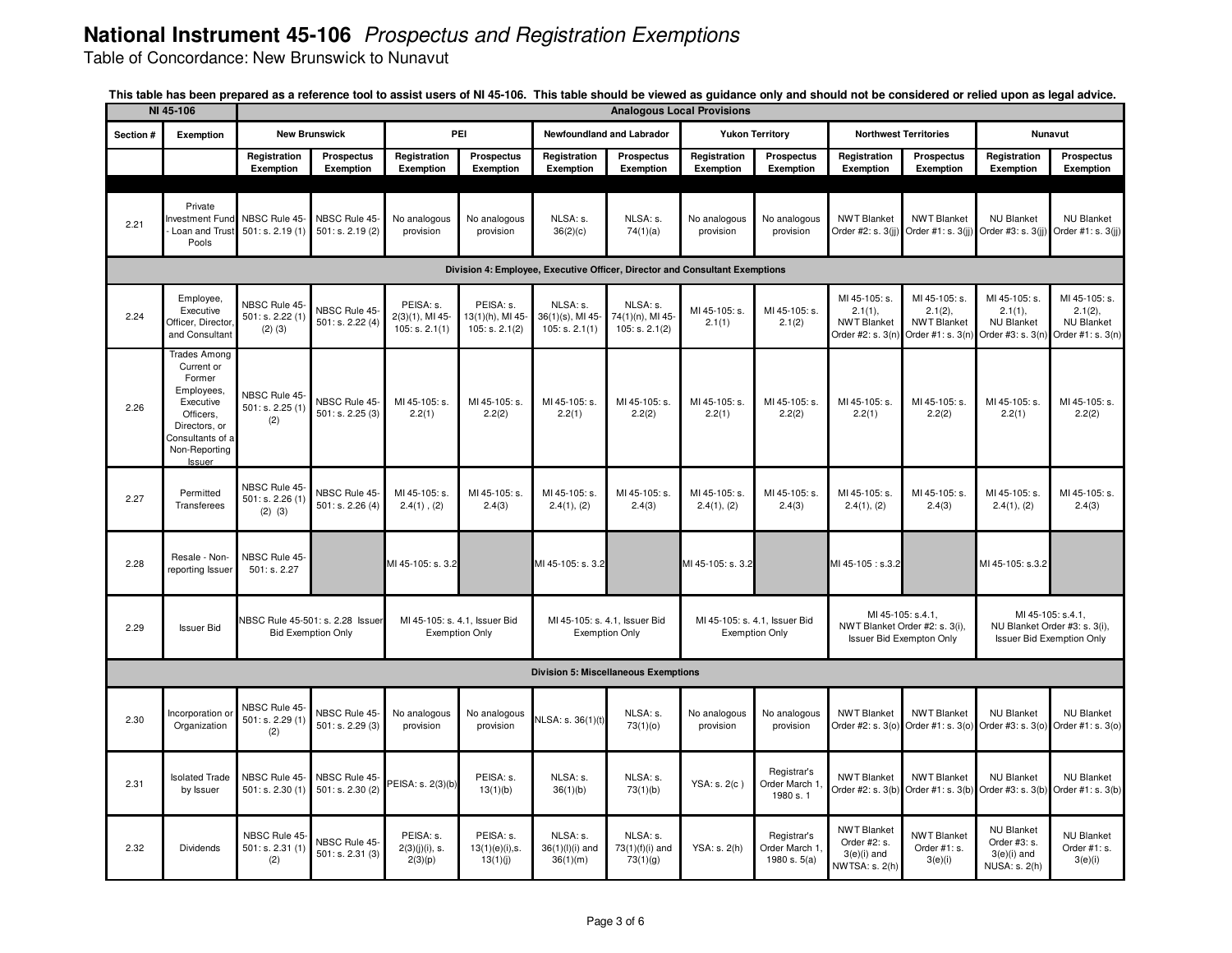Table of Concordance: New Brunswick to Nunavut

|           | NI 45-106                                                                                                                                           |                                                  |                                                               |                                                   |                                                        |                                                  |                                                | <b>Analogous Local Provisions</b>                      |                                              |                                                                                        |                                                                     |                                                                                        |                                                                    |  |  |
|-----------|-----------------------------------------------------------------------------------------------------------------------------------------------------|--------------------------------------------------|---------------------------------------------------------------|---------------------------------------------------|--------------------------------------------------------|--------------------------------------------------|------------------------------------------------|--------------------------------------------------------|----------------------------------------------|----------------------------------------------------------------------------------------|---------------------------------------------------------------------|----------------------------------------------------------------------------------------|--------------------------------------------------------------------|--|--|
| Section # | Exemption                                                                                                                                           |                                                  | <b>New Brunswick</b>                                          |                                                   | PEI                                                    | Newfoundland and Labrador                        |                                                |                                                        | <b>Yukon Territory</b>                       |                                                                                        | <b>Northwest Territories</b>                                        |                                                                                        | Nunavut                                                            |  |  |
|           |                                                                                                                                                     | Registration<br>Exemption                        | <b>Prospectus</b><br><b>Exemption</b>                         | Registration<br>Exemption                         | Prospectus<br>Exemption                                | Registration<br>Exemption                        | Prospectus<br>Exemption                        | Registration<br>Exemption                              | Prospectus<br>Exemption                      | Registration<br><b>Exemption</b>                                                       | <b>Prospectus</b><br>Exemption                                      | Registration<br>Exemption                                                              | Prospectus                                                         |  |  |
|           |                                                                                                                                                     |                                                  |                                                               |                                                   |                                                        |                                                  |                                                |                                                        |                                              |                                                                                        |                                                                     |                                                                                        | <b>Exemption</b>                                                   |  |  |
| 2.21      | Private<br><b>Investment Fund</b><br>Loan and Trust<br>Pools                                                                                        | NBSC Rule 45-<br>501: s. 2.19(1)                 | NBSC Rule 45-<br>501: s. 2.19(2)                              | No analogous<br>provision                         | No analogous<br>provision                              | NLSA: s.<br>36(2)(c)                             | NLSA: s.<br>74(1)(a)                           | No analogous<br>provision                              | No analogous<br>provision                    | <b>NWT Blanket</b><br>Order #2: s. 3(ii)                                               | <b>NWT Blanket</b><br>Order #1: s. 3(jj)                            | <b>NU Blanket</b><br>Order #3: s. 3(ii)                                                | <b>NU Blanket</b><br>Order #1: s. 3(jj)                            |  |  |
|           | Division 4: Employee, Executive Officer, Director and Consultant Exemptions                                                                         |                                                  |                                                               |                                                   |                                                        |                                                  |                                                |                                                        |                                              |                                                                                        |                                                                     |                                                                                        |                                                                    |  |  |
| 2.24      | Employee,<br>Executive<br>Officer, Director<br>and Consultant                                                                                       | NBSC Rule 45-<br>501: s. 2.22 (1)<br>$(2)$ $(3)$ | NBSC Rule 45-<br>501: s. 2.22 (4)                             | PEISA: s.<br>$2(3)(1)$ , MI 45-<br>105: s. 2.1(1) | PEISA: s.<br>13(1)(h), MI 45-<br>105: s. 2.1(2)        | NLSA: s.<br>$36(1)(s)$ , MI 45<br>105: s. 2.1(1) | NLSA: s.<br>74(1)(n), MI 45-<br>105: s. 2.1(2) | MI 45-105: s.<br>2.1(1)                                | MI 45-105: s.<br>2.1(2)                      | MI 45-105: s.<br>2.1(1),<br><b>NWT Blanket</b><br>Order #2: s. 3(n)                    | MI 45-105: s.<br>2.1(2),<br><b>NWT Blanket</b><br>Order #1: s. 3(n) | MI 45-105: s.<br>2.1(1),<br><b>NU Blanket</b><br>Order #3: s. 3(n)                     | MI 45-105: s.<br>2.1(2),<br><b>NU Blanket</b><br>Order #1: s. 3(n) |  |  |
| 2.26      | <b>Trades Among</b><br>Current or<br>Former<br>Employees,<br>Executive<br>Officers,<br>Directors, or<br>Consultants of a<br>Non-Reporting<br>Issuer | NBSC Rule 45-<br>501: s. 2.25 (1)<br>(2)         | NBSC Rule 45-<br>501: s. 2.25(3)                              | MI 45-105: s.<br>2.2(1)                           | MI 45-105: s.<br>2.2(2)                                | MI 45-105: s.<br>2.2(1)                          | MI 45-105: s.<br>2.2(2)                        | MI 45-105: s.<br>2.2(1)                                | MI 45-105: s.<br>2.2(2)                      | MI 45-105: s.<br>2.2(1)                                                                | MI 45-105: s.<br>2.2(2)                                             | MI 45-105: s.<br>2.2(1)                                                                | MI 45-105: s.<br>2.2(2)                                            |  |  |
| 2.27      | Permitted<br>Transferees                                                                                                                            | NBSC Rule 45-<br>501: s. 2.26 (1)<br>$(2)$ $(3)$ | NBSC Rule 45-<br>501: s. 2.26 $(4)$                           | MI 45-105: s.<br>$2.4(1)$ , $(2)$                 | MI 45-105: s.<br>2.4(3)                                | MI 45-105: s.<br>2.4(1), (2)                     | MI 45-105: s.<br>2.4(3)                        | MI 45-105: s.<br>2.4(1), (2)                           | MI 45-105: s.<br>2.4(3)                      | MI 45-105: s.<br>2.4(1), (2)                                                           | MI 45-105: s.<br>2.4(3)                                             | MI 45-105: s.<br>2.4(1), (2)                                                           | MI 45-105: s.<br>2.4(3)                                            |  |  |
| 2.28      | Resale - Non-<br>reporting Issuer                                                                                                                   | NBSC Rule 45<br>501: s. 2.27                     |                                                               | MI 45-105: s. 3.2                                 |                                                        | MI 45-105: s. 3.2                                |                                                | MI 45-105: s. 3.2                                      |                                              | MI 45-105: s.3.2                                                                       |                                                                     | MI 45-105: s.3.2                                                                       |                                                                    |  |  |
| 2.29      | <b>Issuer Bid</b>                                                                                                                                   |                                                  | NBSC Rule 45-501: s. 2.28 Issuer<br><b>Bid Exemption Only</b> |                                                   | MI 45-105: s. 4.1, Issuer Bid<br><b>Exemption Only</b> | <b>Exemption Only</b>                            | MI 45-105: s. 4.1, Issuer Bid                  | MI 45-105: s. 4.1, Issuer Bid<br><b>Exemption Only</b> |                                              | MI 45-105: s.4.1.<br>NWT Blanket Order #2: s. 3(i),<br><b>Issuer Bid Exempton Only</b> |                                                                     | MI 45-105: s.4.1,<br>NU Blanket Order #3: s. 3(i),<br><b>Issuer Bid Exemption Only</b> |                                                                    |  |  |
|           |                                                                                                                                                     |                                                  |                                                               |                                                   |                                                        | <b>Division 5: Miscellaneous Exemptions</b>      |                                                |                                                        |                                              |                                                                                        |                                                                     |                                                                                        |                                                                    |  |  |
| 2.30      | Incorporation o<br>Organization                                                                                                                     | NBSC Rule 45-<br>501: s. 2.29(1)<br>(2)          | NBSC Rule 45-<br>501: s. 2.29(3)                              | No analogous<br>provision                         | No analogous<br>provision                              | NLSA: s. 36(1)(t)                                | NLSA: s.<br>73(1)(0)                           | No analogous<br>provision                              | No analogous<br>provision                    | <b>NWT Blanket</b><br>Order #2: s. 3(o)                                                | <b>NWT Blanket</b><br>Order #1: s. 3(o)                             | <b>NU Blanket</b><br>Order #3: s. 3(o)                                                 | <b>NU Blanket</b><br>Order #1: s. 3(o)                             |  |  |
| 2.31      | <b>Isolated Trade</b><br>by Issuer                                                                                                                  | NBSC Rule 45-<br>501: s. 2.30(1)                 | NBSC Rule 45-<br>501: s. 2.30(2)                              | PEISA: s. 2(3)(b)                                 | PEISA: s.<br>13(1)(b)                                  | NLSA: s.<br>36(1)(b)                             | NLSA: s.<br>73(1)(b)                           | YSA: s. 2(c)                                           | Registrar's<br>Order March 1<br>1980 s. 1    | <b>NWT Blanket</b><br>Order #2: s. 3(b)                                                | <b>NWT Blanket</b><br>Order #1: s. 3(b)                             | <b>NU Blanket</b><br>Order #3: s. 3(b)                                                 | <b>NU Blanket</b><br>Order #1: s. 3(b)                             |  |  |
| 2.32      | Dividends                                                                                                                                           | NBSC Rule 45-<br>501: s. 2.31(1)<br>(2)          | NBSC Rule 45-<br>501: s. 2.31(3)                              | PEISA: s.<br>$2(3)(j)(i)$ , s.<br>2(3)(p)         | PEISA: s.<br>$13(1)(e)(i)$ , s.<br>13(1)(j)            | NLSA: s.<br>$36(1)(I)(i)$ and<br>36(1)(m)        | NLSA: s.<br>73(1)(f)(i) and<br>73(1)(g)        | YSA: s. 2(h)                                           | Registrar's<br>Order March 1<br>1980 s. 5(a) | <b>NWT Blanket</b><br>Order #2: s.<br>$3(e)(i)$ and<br>NWTSA: s. 2(h)                  | <b>NWT Blanket</b><br>Order #1: s.<br>3(e)(i)                       | <b>NU Blanket</b><br>Order #3: s.<br>$3(e)(i)$ and<br>NUSA: s. 2(h)                    | <b>NU Blanket</b><br>Order #1: s.<br>3(e)(i)                       |  |  |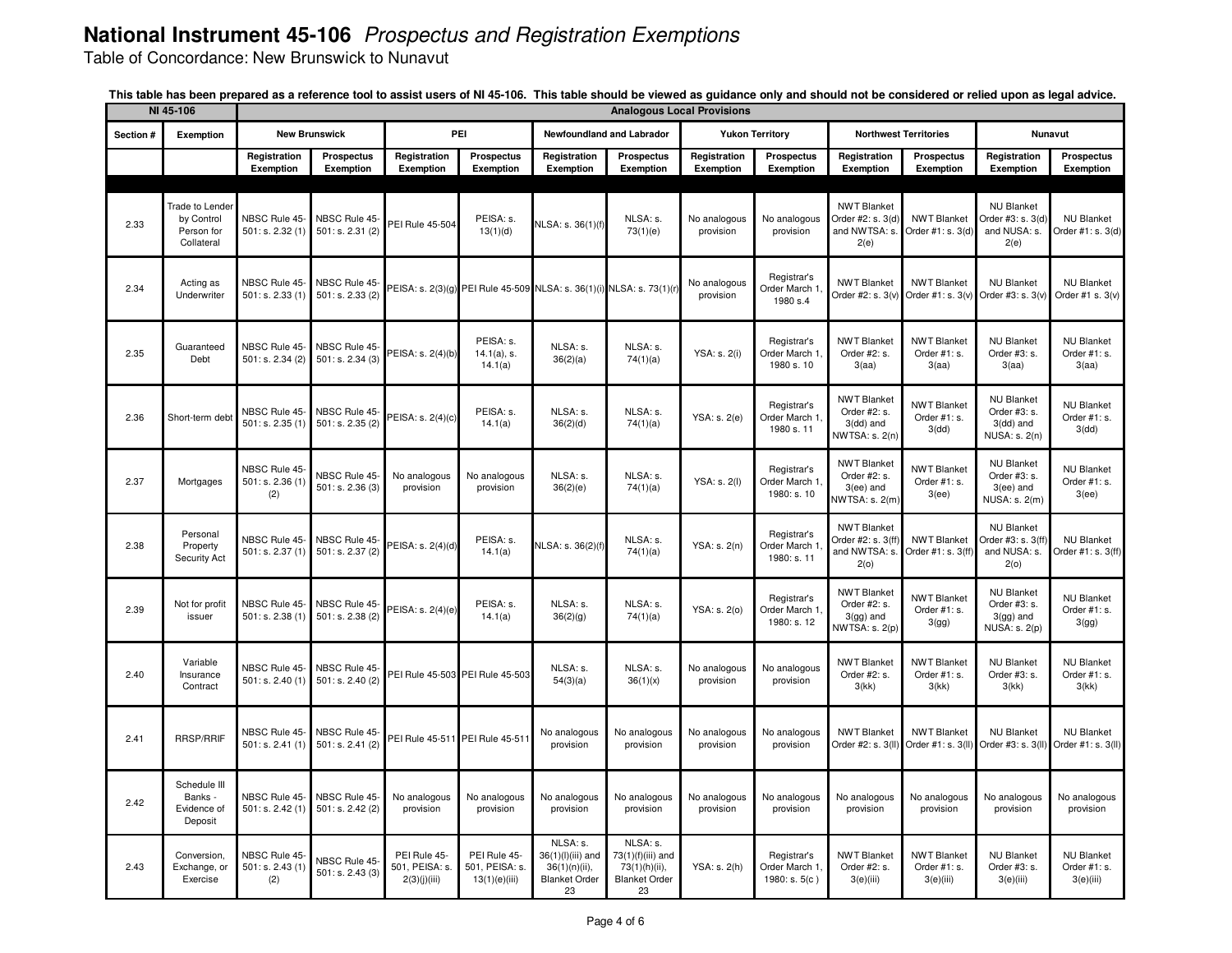Table of Concordance: New Brunswick to Nunavut

|           | NI 45-106                                                        |                                         |                                   |                                                |                                                                      |                                                                                 |                                                                              | <b>Analogous Local Provisions</b> |                                               |                                                                      |                                                 |                                                                           |                                                |  |  |
|-----------|------------------------------------------------------------------|-----------------------------------------|-----------------------------------|------------------------------------------------|----------------------------------------------------------------------|---------------------------------------------------------------------------------|------------------------------------------------------------------------------|-----------------------------------|-----------------------------------------------|----------------------------------------------------------------------|-------------------------------------------------|---------------------------------------------------------------------------|------------------------------------------------|--|--|
| Section # | Exemption                                                        |                                         | <b>New Brunswick</b>              |                                                | PEI                                                                  |                                                                                 | Newfoundland and Labrador                                                    |                                   | <b>Yukon Territory</b>                        |                                                                      | <b>Northwest Territories</b>                    |                                                                           | <b>Nunavut</b>                                 |  |  |
|           |                                                                  | Registration<br><b>Exemption</b>        | Prospectus<br>Exemption           | Registration<br><b>Exemption</b>               | <b>Prospectus</b><br><b>Exemption</b>                                | Registration<br>Exemption                                                       | <b>Prospectus</b><br>Exemption                                               | Registration<br><b>Exemption</b>  | Prospectus<br><b>Exemption</b>                | Registration<br>Exemption                                            | <b>Prospectus</b><br>Exemption                  | Registration<br>Exemption                                                 | Prospectus<br>Exemption                        |  |  |
|           |                                                                  |                                         |                                   |                                                |                                                                      |                                                                                 |                                                                              |                                   |                                               |                                                                      |                                                 |                                                                           |                                                |  |  |
| 2.33      | <b>Trade to Lender</b><br>by Control<br>Person for<br>Collateral | NBSC Rule 45<br>501: s. 2.32(1)         | NBSC Rule 45<br>501: s. 2.31(2)   | <b>PEI Rule 45-504</b>                         | PEISA: s.<br>13(1)(d)                                                | NLSA: s. 36(1)(f)                                                               | NLSA: s.<br>73(1)(e)                                                         | No analogous<br>provision         | No analogous<br>provision                     | <b>NWT Blanket</b><br>Order #2: s. 3(d)<br>and NWTSA: s.<br>2(e)     | <b>NWT Blanket</b><br>Order #1: s. 3(d)         | <b>NU Blanket</b><br>Order #3: s. 3(d)<br>and NUSA: s.<br>2(e)            | <b>NU Blanket</b><br>Order #1: s. 3(d)         |  |  |
| 2.34      | Acting as<br>Underwriter                                         | NBSC Rule 45-<br>501: s. 2.33(1)        | NBSC Rule 45<br>501: s. 2.33(2)   |                                                | PEISA: s. 2(3)(g) PEI Rule 45-509 NLSA: s. 36(1)(i) NLSA: s. 73(1)(r |                                                                                 |                                                                              | No analogous<br>provision         | Registrar's<br>Order March 1<br>1980 s.4      | <b>NWT Blanket</b><br>Order #2: s. 3(v)                              | <b>NWT Blanket</b><br>Order #1: s. 3(v)         | <b>NU Blanket</b><br>Order #3: s. 3(v)                                    | <b>NU Blanket</b><br>Order #1 s. 3(v)          |  |  |
| 2.35      | Guaranteed<br>Debt                                               | NBSC Rule 45<br>501: s. 2.34 (2)        | NBSC Rule 45-<br>501: s. 2.34(3)  | PEISA: s. 2(4)(b)                              | PEISA: s.<br>$14.1(a)$ , s.<br>14.1(a)                               | NLSA: s.<br>36(2)(a)                                                            | NLSA: s.<br>74(1)(a)                                                         | YSA: s. 2(i)                      | Registrar's<br>Order March 1<br>1980 s. 10    | <b>NWT Blanket</b><br>Order #2: s.<br>3(aa)                          | <b>NWT Blanket</b><br>Order #1: s.<br>3(aa)     | <b>NU Blanket</b><br>Order #3: s.<br>3(aa)                                | <b>NU Blanket</b><br>Order #1: s.<br>3(aa)     |  |  |
| 2.36      | Short-term deb                                                   | NBSC Rule 45-<br>501: s. 2.35(1)        | NBSC Rule 45<br>501: s. 2.35(2)   | PEISA: s. 2(4)(c)                              | PEISA: s.<br>14.1(a)                                                 | NLSA: s.<br>36(2)(d)                                                            | NLSA: s.<br>74(1)(a)                                                         | YSA: s. 2(e)                      | Registrar's<br>Order March 1.<br>1980 s. 11   | <b>NWT Blanket</b><br>Order #2: s.<br>$3$ (dd) and<br>NWTSA: s. 2(n) | <b>NWT Blanket</b><br>Order #1: s.<br>3(dd)     | <b>NU Blanket</b><br>Order #3: s.<br>$3$ (dd) and<br><b>NUSA: s. 2(n)</b> | <b>NU Blanket</b><br>Order #1: s.<br>3(dd)     |  |  |
| 2.37      | Mortgages                                                        | NBSC Rule 45-<br>501: s. 2.36(1)<br>(2) | NBSC Rule 45-<br>501: s. 2.36(3)  | No analogous<br>provision                      | No analogous<br>provision                                            | NLSA: s.<br>36(2)(e)                                                            | NLSA: s.<br>74(1)(a)                                                         | YSA: s. 2(l)                      | Registrar's<br>Order March 1.<br>1980: s. 10  | <b>NWT Blanket</b><br>Order #2: s.<br>3(ee) and<br>VWTSA: s. 2(m)    | <b>NWT Blanket</b><br>Order #1: s.<br>3(ee)     | <b>NU Blanket</b><br>Order #3: s.<br>3(ee) and<br>NUSA: s. 2(m)           | <b>NU Blanket</b><br>Order #1: s.<br>3(ee)     |  |  |
| 2.38      | Personal<br>Property<br>Security Act                             | NBSC Rule 45-<br>501: s. 2.37 (1)       | NBSC Rule 45-<br>501: s. 2.37 (2) | PEISA: s. 2(4)(d)                              | PEISA: s.<br>14.1(a)                                                 | NLSA: s. 36(2)(f)                                                               | NLSA: s.<br>74(1)(a)                                                         | YSA: s. 2(n)                      | Registrar's<br>Order March 1<br>1980: s. 11   | <b>NWT Blanket</b><br>Order #2: s. 3(ff)<br>and NWTSA: s<br>2(0)     | <b>NWT Blanket</b><br>Order #1: s. 3(ff         | <b>NU Blanket</b><br>Order #3: s. 3(ff)<br>and NUSA: s.<br>2(0)           | <b>NU Blanket</b><br>Order #1: s. 3(ff)        |  |  |
| 2.39      | Not for profit<br>issuer                                         | NBSC Rule 45-<br>501: s. 2.38(1)        | NBSC Rule 45-<br>501: s. 2.38 (2) | PEISA: s. 2(4)(e)                              | PEISA: s.<br>14.1(a)                                                 | NLSA: s.<br>36(2)(g)                                                            | NLSA: s.<br>74(1)(a)                                                         | YSA: s. 2(o)                      | Registrar's<br>Order March 1.<br>1980: s. 12  | <b>NWT Blanket</b><br>Order #2: s.<br>$3(gg)$ and<br>VWTSA: s. 2(p)  | <b>NWT Blanket</b><br>Order #1: s.<br>3(gg)     | <b>NU Blanket</b><br>Order #3: s.<br>$3(gg)$ and<br><b>NUSA: s. 2(p)</b>  | <b>NU Blanket</b><br>Order #1: s.<br>3(gg)     |  |  |
| 2.40      | Variable<br>Insurance<br>Contract                                | NBSC Rule 45-<br>501: s. 2.40(1)        | NBSC Rule 45-<br>501: s. 2.40 (2) |                                                | PEI Rule 45-503 PEI Rule 45-503                                      | NLSA: s.<br>54(3)(a)                                                            | NLSA: s.<br>36(1)(x)                                                         | No analogous<br>provision         | No analogous<br>provision                     | <b>NWT Blanket</b><br>Order #2: s.<br>3(kk)                          | <b>NWT Blanket</b><br>Order #1: s.<br>3(kk)     | <b>NU Blanket</b><br>Order #3: s.<br>3(kk)                                | <b>NU Blanket</b><br>Order #1: s.<br>3(kk)     |  |  |
| 2.41      | <b>RRSP/RRIF</b>                                                 | NBSC Rule 45<br>501: s. 2.41(1)         | NBSC Rule 45<br>501: s. 2.41(2)   |                                                | PEI Rule 45-511 PEI Rule 45-51                                       | No analogous<br>provision                                                       | No analogous<br>provision                                                    | No analogous<br>provision         | No analogous<br>provision                     | <b>NWT Blanket</b><br>Order #2: s. 3(II)                             | <b>NWT Blanket</b><br>Order #1: s. 3(II)        | <b>NU Blanket</b><br>Order #3: s. 3(II)                                   | <b>NU Blanket</b><br>Order #1: s. 3(II)        |  |  |
| 2.42      | Schedule III<br>Banks -<br>Evidence of<br>Deposit                | NBSC Rule 45<br>501: s. 2.42(1)         | NBSC Rule 45-<br>501: s. 2.42 (2) | No analogous<br>provision                      | No analogous<br>provision                                            | No analogous<br>provision                                                       | No analogous<br>provision                                                    | No analogous<br>provision         | No analogous<br>provision                     | No analogous<br>provision                                            | No analogous<br>provision                       | No analogous<br>provision                                                 | No analogous<br>provision                      |  |  |
| 2.43      | Conversion,<br>Exchange, or<br>Exercise                          | NBSC Rule 45<br>501: s. 2.43(1)<br>(2)  | NBSC Rule 45-<br>501: s. 2.43(3)  | PEI Rule 45-<br>501, PEISA: s.<br>2(3)(j)(iii) | PEI Rule 45-<br>501, PEISA: s.<br>13(1)(e)(iii)                      | NLSA: s.<br>36(1)(l)(iii) and<br>$36(1)(n)(ii)$ ,<br><b>Blanket Order</b><br>23 | NLSA: s.<br>73(1)(f)(iii) and<br>73(1)(h)(ii),<br><b>Blanket Order</b><br>23 | YSA: s. 2(h)                      | Registrar's<br>Order March 1<br>1980: s. 5(c) | <b>NWT Blanket</b><br>Order #2: s.<br>3(e)(iii)                      | <b>NWT Blanket</b><br>Order #1: s.<br>3(e)(iii) | <b>NU Blanket</b><br>Order #3: s.<br>3(e)(iii)                            | <b>NU Blanket</b><br>Order #1: s.<br>3(e)(iii) |  |  |

This table has been prepared as a reference tool to assist users of NI 45-106. This table should be viewed as guidance only and should not be considered or relied upon as legal advice.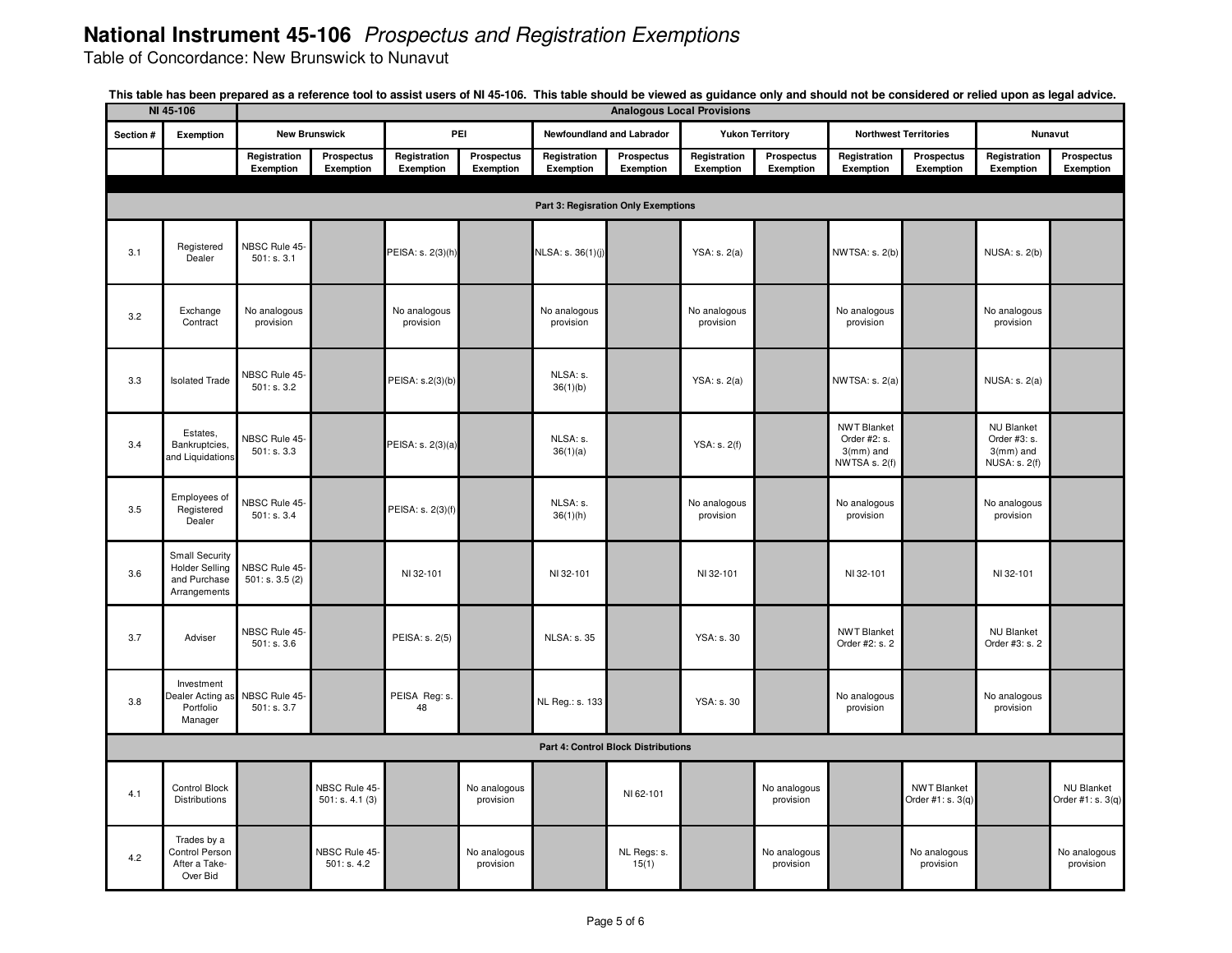Table of Concordance: New Brunswick to Nunavut

|           | NI 45-106                                                                      |                                 |                                 |                           |                           |                           | <b>Analogous Local Provisions</b>          |                           |                           |                                                                     |                                         |                                                                           |                                        |
|-----------|--------------------------------------------------------------------------------|---------------------------------|---------------------------------|---------------------------|---------------------------|---------------------------|--------------------------------------------|---------------------------|---------------------------|---------------------------------------------------------------------|-----------------------------------------|---------------------------------------------------------------------------|----------------------------------------|
| Section # | Exemption                                                                      |                                 | <b>New Brunswick</b>            |                           | PEI                       |                           | Newfoundland and Labrador                  |                           | <b>Yukon Territory</b>    |                                                                     | <b>Northwest Territories</b>            |                                                                           | Nunavut                                |
|           |                                                                                | Registration<br>Exemption       | <b>Prospectus</b><br>Exemption  | Registration<br>Exemption | Prospectus<br>Exemption   | Registration<br>Exemption | Prospectus<br>Exemption                    | Registration<br>Exemption | Prospectus<br>Exemption   | Registration<br>Exemption                                           | Prospectus<br>Exemption                 | Registration<br>Exemption                                                 | Prospectus<br>Exemption                |
|           |                                                                                |                                 |                                 |                           |                           |                           |                                            |                           |                           |                                                                     |                                         |                                                                           |                                        |
|           |                                                                                |                                 |                                 |                           |                           |                           | Part 3: Regisration Only Exemptions        |                           |                           |                                                                     |                                         |                                                                           |                                        |
| 3.1       | Registered<br>Dealer                                                           | NBSC Rule 45<br>501: s. 3.1     |                                 | PEISA: s. 2(3)(h)         |                           | NLSA: s. 36(1)(j)         |                                            | YSA: s. 2(a)              |                           | <b>NWTSA: s. 2(b)</b>                                               |                                         | NUSA: s. 2(b)                                                             |                                        |
| 3.2       | Exchange<br>Contract                                                           | No analogous<br>provision       |                                 | No analogous<br>provision |                           | No analogous<br>provision |                                            | No analogous<br>provision |                           | No analogous<br>provision                                           |                                         | No analogous<br>provision                                                 |                                        |
| 3.3       | <b>Isolated Trade</b>                                                          | NBSC Rule 45-<br>501: s. 3.2    |                                 | PEISA: s.2(3)(b)          |                           | NLSA: s.<br>36(1)(b)      |                                            | YSA: s. 2(a)              |                           | NWTSA: s. 2(a)                                                      |                                         | <b>NUSA: s. 2(a)</b>                                                      |                                        |
| 3.4       | Estates.<br>Bankruptcies,<br>and Liquidations                                  | NBSC Rule 45-<br>501: s. 3.3    |                                 | PEISA: s. 2(3)(a)         |                           | NLSA: s.<br>36(1)(a)      |                                            | YSA: s. 2(f)              |                           | <b>NWT Blanket</b><br>Order #2: s.<br>$3$ (mm) and<br>NWTSA s. 2(f) |                                         | <b>NU Blanket</b><br>Order #3: s.<br>$3$ (mm) and<br><b>NUSA: s. 2(f)</b> |                                        |
| 3.5       | Employees of<br>Registered<br>Dealer                                           | NBSC Rule 45-<br>501: s. 3.4    |                                 | PEISA: s. 2(3)(f)         |                           | NLSA: s.<br>36(1)(h)      |                                            | No analogous<br>provision |                           | No analogous<br>provision                                           |                                         | No analogous<br>provision                                                 |                                        |
| 3.6       | <b>Small Security</b><br><b>Holder Selling</b><br>and Purchase<br>Arrangements | NBSC Rule 45-<br>501: s. 3.5(2) |                                 | NI 32-101                 |                           | NI 32-101                 |                                            | NI 32-101                 |                           | NI 32-101                                                           |                                         | NI 32-101                                                                 |                                        |
| 3.7       | Adviser                                                                        | NBSC Rule 45-<br>501: s. 3.6    |                                 | PEISA: s. 2(5)            |                           | <b>NLSA: s. 35</b>        |                                            | YSA: s. 30                |                           | <b>NWT Blanket</b><br>Order #2: s. 2                                |                                         | <b>NU Blanket</b><br>Order #3: s. 2                                       |                                        |
| 3.8       | Investment<br>Dealer Acting as<br>Portfolio<br>Manager                         | NBSC Rule 45-<br>501: s. 3.7    |                                 | PEISA Reg: s.<br>48       |                           | NL Reg.: s. 133           |                                            | <b>YSA: s. 30</b>         |                           | No analogous<br>provision                                           |                                         | No analogous<br>provision                                                 |                                        |
|           |                                                                                |                                 |                                 |                           |                           |                           | <b>Part 4: Control Block Distributions</b> |                           |                           |                                                                     |                                         |                                                                           |                                        |
| 4.1       | Control Block<br>Distributions                                                 |                                 | NBSC Rule 45-<br>501: s. 4.1(3) |                           | No analogous<br>provision |                           | NI 62-101                                  |                           | No analogous<br>provision |                                                                     | <b>NWT Blanket</b><br>Order #1: s. 3(q) |                                                                           | <b>NU Blanket</b><br>Order #1: s. 3(q) |
| 4.2       | Trades by a<br>Control Person<br>After a Take-<br>Over Bid                     |                                 | NBSC Rule 45<br>501: s. 4.2     |                           | No analogous<br>provision |                           | NL Regs: s.<br>15(1)                       |                           | No analogous<br>provision |                                                                     | No analogous<br>provision               |                                                                           | No analogous<br>provision              |